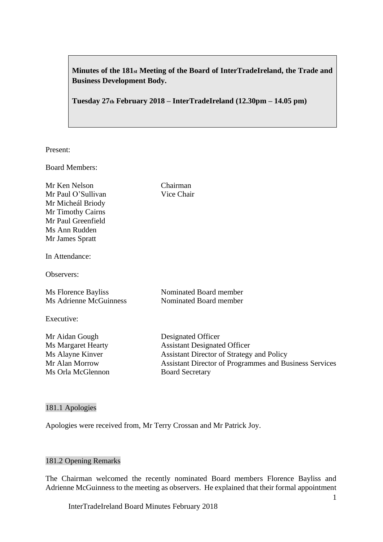**Minutes of the 181st Meeting of the Board of InterTradeIreland, the Trade and Business Development Body.**

**Tuesday 27th February 2018 – InterTradeIreland (12.30pm – 14.05 pm)**

Present:

Board Members:

Mr Ken Nelson Chairman Mr Paul O'Sullivan Vice Chair Mr Micheál Briody Mr Timothy Cairns Mr Paul Greenfield Ms Ann Rudden Mr James Spratt

In Attendance:

Observers:

Ms Florence Bayliss Nominated Board member Ms Adrienne McGuinness Nominated Board member

Executive:

Mr Aidan Gough Designated Officer

Ms Margaret Hearty **Assistant Designated Officer** Ms Alayne Kinver Assistant Director of Strategy and Policy Mr Alan Morrow Assistant Director of Programmes and Business Services Ms Orla McGlennon Board Secretary

#### 181.1 Apologies

Apologies were received from, Mr Terry Crossan and Mr Patrick Joy.

## 181.2 Opening Remarks

The Chairman welcomed the recently nominated Board members Florence Bayliss and Adrienne McGuinness to the meeting as observers. He explained that their formal appointment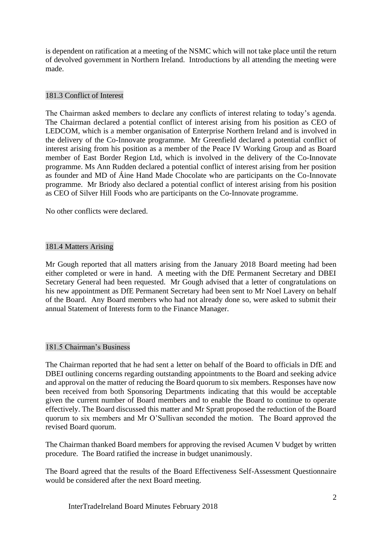is dependent on ratification at a meeting of the NSMC which will not take place until the return of devolved government in Northern Ireland. Introductions by all attending the meeting were made.

## 181.3 Conflict of Interest

The Chairman asked members to declare any conflicts of interest relating to today's agenda. The Chairman declared a potential conflict of interest arising from his position as CEO of LEDCOM, which is a member organisation of Enterprise Northern Ireland and is involved in the delivery of the Co-Innovate programme. Mr Greenfield declared a potential conflict of interest arising from his position as a member of the Peace IV Working Group and as Board member of East Border Region Ltd, which is involved in the delivery of the Co-Innovate programme. Ms Ann Rudden declared a potential conflict of interest arising from her position as founder and MD of Áine Hand Made Chocolate who are participants on the Co-Innovate programme. Mr Briody also declared a potential conflict of interest arising from his position as CEO of Silver Hill Foods who are participants on the Co-Innovate programme.

No other conflicts were declared.

## 181.4 Matters Arising

Mr Gough reported that all matters arising from the January 2018 Board meeting had been either completed or were in hand. A meeting with the DfE Permanent Secretary and DBEI Secretary General had been requested. Mr Gough advised that a letter of congratulations on his new appointment as DfE Permanent Secretary had been sent to Mr Noel Lavery on behalf of the Board. Any Board members who had not already done so, were asked to submit their annual Statement of Interests form to the Finance Manager.

### 181.5 Chairman's Business

The Chairman reported that he had sent a letter on behalf of the Board to officials in DfE and DBEI outlining concerns regarding outstanding appointments to the Board and seeking advice and approval on the matter of reducing the Board quorum to six members. Responses have now been received from both Sponsoring Departments indicating that this would be acceptable given the current number of Board members and to enable the Board to continue to operate effectively. The Board discussed this matter and Mr Spratt proposed the reduction of the Board quorum to six members and Mr O'Sullivan seconded the motion. The Board approved the revised Board quorum.

The Chairman thanked Board members for approving the revised Acumen V budget by written procedure. The Board ratified the increase in budget unanimously.

The Board agreed that the results of the Board Effectiveness Self-Assessment Questionnaire would be considered after the next Board meeting.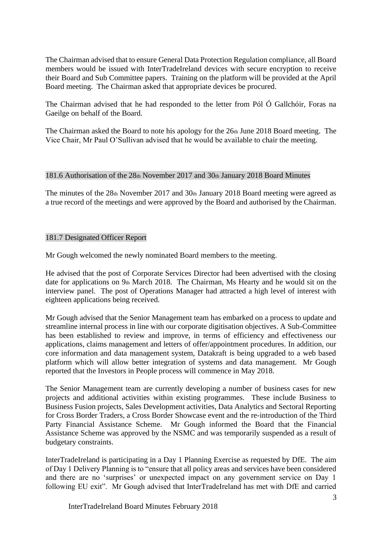The Chairman advised that to ensure General Data Protection Regulation compliance, all Board members would be issued with InterTradeIreland devices with secure encryption to receive their Board and Sub Committee papers. Training on the platform will be provided at the April Board meeting. The Chairman asked that appropriate devices be procured.

The Chairman advised that he had responded to the letter from Pól Ó Gallchóir, Foras na Gaeilge on behalf of the Board.

The Chairman asked the Board to note his apology for the 26th June 2018 Board meeting. The Vice Chair, Mr Paul O'Sullivan advised that he would be available to chair the meeting.

## 181.6 Authorisation of the 28th November 2017 and 30th January 2018 Board Minutes

The minutes of the 28th November 2017 and 30th January 2018 Board meeting were agreed as a true record of the meetings and were approved by the Board and authorised by the Chairman.

## 181.7 Designated Officer Report

Mr Gough welcomed the newly nominated Board members to the meeting.

He advised that the post of Corporate Services Director had been advertised with the closing date for applications on 9th March 2018. The Chairman, Ms Hearty and he would sit on the interview panel. The post of Operations Manager had attracted a high level of interest with eighteen applications being received.

Mr Gough advised that the Senior Management team has embarked on a process to update and streamline internal process in line with our corporate digitisation objectives. A Sub-Committee has been established to review and improve, in terms of efficiency and effectiveness our applications, claims management and letters of offer/appointment procedures. In addition, our core information and data management system, Datakraft is being upgraded to a web based platform which will allow better integration of systems and data management. Mr Gough reported that the Investors in People process will commence in May 2018.

The Senior Management team are currently developing a number of business cases for new projects and additional activities within existing programmes. These include Business to Business Fusion projects, Sales Development activities, Data Analytics and Sectoral Reporting for Cross Border Traders, a Cross Border Showcase event and the re-introduction of the Third Party Financial Assistance Scheme. Mr Gough informed the Board that the Financial Assistance Scheme was approved by the NSMC and was temporarily suspended as a result of budgetary constraints.

InterTradeIreland is participating in a Day 1 Planning Exercise as requested by DfE. The aim of Day 1 Delivery Planning is to "ensure that all policy areas and services have been considered and there are no 'surprises' or unexpected impact on any government service on Day 1 following EU exit". Mr Gough advised that InterTradeIreland has met with DfE and carried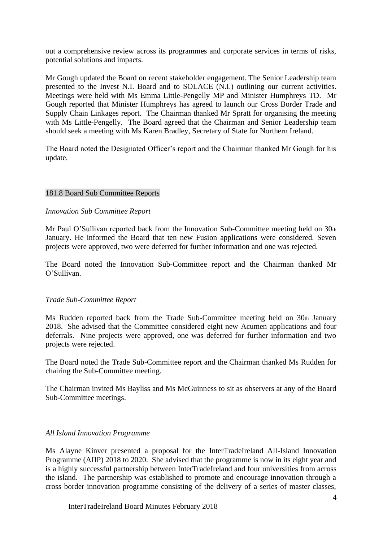out a comprehensive review across its programmes and corporate services in terms of risks, potential solutions and impacts.

Mr Gough updated the Board on recent stakeholder engagement. The Senior Leadership team presented to the Invest N.I. Board and to SOLACE (N.I.) outlining our current activities. Meetings were held with Ms Emma Little-Pengelly MP and Minister Humphreys TD. Mr Gough reported that Minister Humphreys has agreed to launch our Cross Border Trade and Supply Chain Linkages report. The Chairman thanked Mr Spratt for organising the meeting with Ms Little-Pengelly. The Board agreed that the Chairman and Senior Leadership team should seek a meeting with Ms Karen Bradley, Secretary of State for Northern Ireland.

The Board noted the Designated Officer's report and the Chairman thanked Mr Gough for his update.

## 181.8 Board Sub Committee Reports

### *Innovation Sub Committee Report*

Mr Paul O'Sullivan reported back from the Innovation Sub-Committee meeting held on 30th January. He informed the Board that ten new Fusion applications were considered. Seven projects were approved, two were deferred for further information and one was rejected.

The Board noted the Innovation Sub-Committee report and the Chairman thanked Mr O'Sullivan.

### *Trade Sub-Committee Report*

Ms Rudden reported back from the Trade Sub-Committee meeting held on 30th January 2018. She advised that the Committee considered eight new Acumen applications and four deferrals. Nine projects were approved, one was deferred for further information and two projects were rejected.

The Board noted the Trade Sub-Committee report and the Chairman thanked Ms Rudden for chairing the Sub-Committee meeting.

The Chairman invited Ms Bayliss and Ms McGuinness to sit as observers at any of the Board Sub-Committee meetings.

#### *All Island Innovation Programme*

Ms Alayne Kinver presented a proposal for the InterTradeIreland All-Island Innovation Programme (AIIP) 2018 to 2020. She advised that the programme is now in its eight year and is a highly successful partnership between InterTradeIreland and four universities from across the island. The partnership was established to promote and encourage innovation through a cross border innovation programme consisting of the delivery of a series of master classes,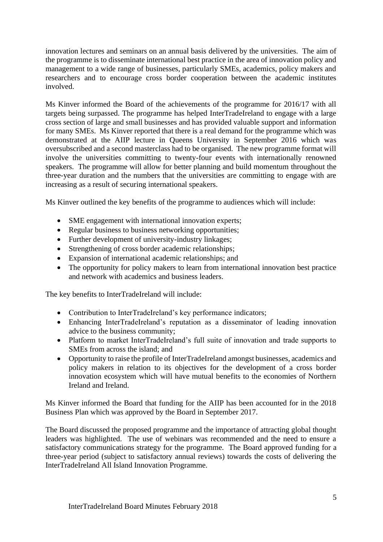innovation lectures and seminars on an annual basis delivered by the universities. The aim of the programme is to disseminate international best practice in the area of innovation policy and management to a wide range of businesses, particularly SMEs, academics, policy makers and researchers and to encourage cross border cooperation between the academic institutes involved.

Ms Kinver informed the Board of the achievements of the programme for 2016/17 with all targets being surpassed. The programme has helped InterTradeIreland to engage with a large cross section of large and small businesses and has provided valuable support and information for many SMEs. Ms Kinver reported that there is a real demand for the programme which was demonstrated at the AIIP lecture in Queens University in September 2016 which was oversubscribed and a second masterclass had to be organised. The new programme format will involve the universities committing to twenty-four events with internationally renowned speakers. The programme will allow for better planning and build momentum throughout the three-year duration and the numbers that the universities are committing to engage with are increasing as a result of securing international speakers.

Ms Kinver outlined the key benefits of the programme to audiences which will include:

- SME engagement with international innovation experts;
- Regular business to business networking opportunities;
- Further development of university-industry linkages;
- Strengthening of cross border academic relationships;
- Expansion of international academic relationships; and
- The opportunity for policy makers to learn from international innovation best practice and network with academics and business leaders.

The key benefits to InterTradeIreland will include:

- Contribution to InterTradeIreland's key performance indicators;
- Enhancing InterTradeIreland's reputation as a disseminator of leading innovation advice to the business community;
- Platform to market InterTradeIreland's full suite of innovation and trade supports to SMEs from across the island; and
- Opportunity to raise the profile of InterTradeIreland amongst businesses, academics and policy makers in relation to its objectives for the development of a cross border innovation ecosystem which will have mutual benefits to the economies of Northern Ireland and Ireland.

Ms Kinver informed the Board that funding for the AIIP has been accounted for in the 2018 Business Plan which was approved by the Board in September 2017.

The Board discussed the proposed programme and the importance of attracting global thought leaders was highlighted. The use of webinars was recommended and the need to ensure a satisfactory communications strategy for the programme. The Board approved funding for a three-year period (subject to satisfactory annual reviews) towards the costs of delivering the InterTradeIreland All Island Innovation Programme.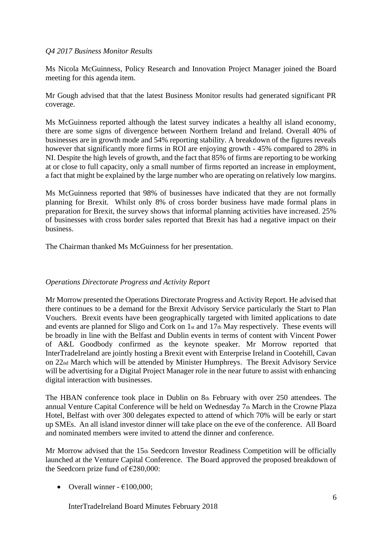# *Q4 2017 Business Monitor Results*

Ms Nicola McGuinness, Policy Research and Innovation Project Manager joined the Board meeting for this agenda item.

Mr Gough advised that that the latest Business Monitor results had generated significant PR coverage.

Ms McGuinness reported although the latest survey indicates a healthy all island economy, there are some signs of divergence between Northern Ireland and Ireland. Overall 40% of businesses are in growth mode and 54% reporting stability. A breakdown of the figures reveals however that significantly more firms in ROI are enjoying growth - 45% compared to 28% in NI. Despite the high levels of growth, and the fact that 85% of firms are reporting to be working at or close to full capacity, only a small number of firms reported an increase in employment, a fact that might be explained by the large number who are operating on relatively low margins.

Ms McGuinness reported that 98% of businesses have indicated that they are not formally planning for Brexit. Whilst only 8% of cross border business have made formal plans in preparation for Brexit, the survey shows that informal planning activities have increased. 25% of businesses with cross border sales reported that Brexit has had a negative impact on their business.

The Chairman thanked Ms McGuinness for her presentation.

# *Operations Directorate Progress and Activity Report*

Mr Morrow presented the Operations Directorate Progress and Activity Report. He advised that there continues to be a demand for the Brexit Advisory Service particularly the Start to Plan Vouchers. Brexit events have been geographically targeted with limited applications to date and events are planned for Sligo and Cork on 1st and 17th May respectively. These events will be broadly in line with the Belfast and Dublin events in terms of content with Vincent Power of A&L Goodbody confirmed as the keynote speaker. Mr Morrow reported that InterTradeIreland are jointly hosting a Brexit event with Enterprise Ireland in Cootehill, Cavan on 22nd March which will be attended by Minister Humphreys. The Brexit Advisory Service will be advertising for a Digital Project Manager role in the near future to assist with enhancing digital interaction with businesses.

The HBAN conference took place in Dublin on 8th February with over 250 attendees. The annual Venture Capital Conference will be held on Wednesday 7th March in the Crowne Plaza Hotel, Belfast with over 300 delegates expected to attend of which 70% will be early or start up SMEs. An all island investor dinner will take place on the eve of the conference. All Board and nominated members were invited to attend the dinner and conference.

Mr Morrow advised that the 15th Seedcorn Investor Readiness Competition will be officially launched at the Venture Capital Conference. The Board approved the proposed breakdown of the Seedcorn prize fund of  $\epsilon$ 280,000:

• Overall winner -  $€100,000;$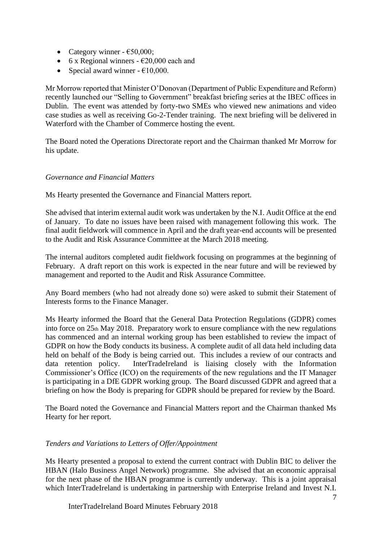- Category winner  $\epsilon$ 50,000;
- 6 x Regional winners  $\epsilon$ 20,000 each and
- Special award winner  $\epsilon 10,000$ .

Mr Morrow reported that Minister O'Donovan (Department of Public Expenditure and Reform) recently launched our "Selling to Government" breakfast briefing series at the IBEC offices in Dublin. The event was attended by forty-two SMEs who viewed new animations and video case studies as well as receiving Go-2-Tender training. The next briefing will be delivered in Waterford with the Chamber of Commerce hosting the event.

The Board noted the Operations Directorate report and the Chairman thanked Mr Morrow for his update.

# *Governance and Financial Matters*

Ms Hearty presented the Governance and Financial Matters report.

She advised that interim external audit work was undertaken by the N.I. Audit Office at the end of January. To date no issues have been raised with management following this work. The final audit fieldwork will commence in April and the draft year-end accounts will be presented to the Audit and Risk Assurance Committee at the March 2018 meeting.

The internal auditors completed audit fieldwork focusing on programmes at the beginning of February. A draft report on this work is expected in the near future and will be reviewed by management and reported to the Audit and Risk Assurance Committee.

Any Board members (who had not already done so) were asked to submit their Statement of Interests forms to the Finance Manager.

Ms Hearty informed the Board that the General Data Protection Regulations (GDPR) comes into force on 25th May 2018. Preparatory work to ensure compliance with the new regulations has commenced and an internal working group has been established to review the impact of GDPR on how the Body conducts its business. A complete audit of all data held including data held on behalf of the Body is being carried out. This includes a review of our contracts and data retention policy. InterTradeIreland is liaising closely with the Information Commissioner's Office (ICO) on the requirements of the new regulations and the IT Manager is participating in a DfE GDPR working group. The Board discussed GDPR and agreed that a briefing on how the Body is preparing for GDPR should be prepared for review by the Board.

The Board noted the Governance and Financial Matters report and the Chairman thanked Ms Hearty for her report.

# *Tenders and Variations to Letters of Offer/Appointment*

Ms Hearty presented a proposal to extend the current contract with Dublin BIC to deliver the HBAN (Halo Business Angel Network) programme. She advised that an economic appraisal for the next phase of the HBAN programme is currently underway. This is a joint appraisal which InterTradeIreland is undertaking in partnership with Enterprise Ireland and Invest N.I.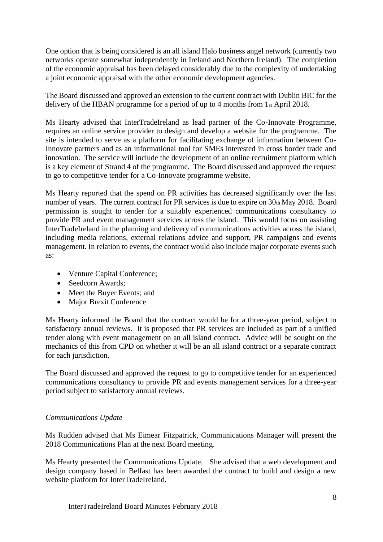One option that is being considered is an all island Halo business angel network (currently two networks operate somewhat independently in Ireland and Northern Ireland). The completion of the economic appraisal has been delayed considerably due to the complexity of undertaking a joint economic appraisal with the other economic development agencies.

The Board discussed and approved an extension to the current contract with Dublin BIC for the delivery of the HBAN programme for a period of up to 4 months from 1st April 2018.

Ms Hearty advised that InterTradeIreland as lead partner of the Co-Innovate Programme, requires an online service provider to design and develop a website for the programme. The site is intended to serve as a platform for facilitating exchange of information between Co-Innovate partners and as an informational tool for SMEs interested in cross border trade and innovation. The service will include the development of an online recruitment platform which is a key element of Strand 4 of the programme. The Board discussed and approved the request to go to competitive tender for a Co-Innovate programme website.

Ms Hearty reported that the spend on PR activities has decreased significantly over the last number of years. The current contract for PR services is due to expire on 30th May 2018. Board permission is sought to tender for a suitably experienced communications consultancy to provide PR and event management services across the island. This would focus on assisting InterTradeIreland in the planning and delivery of communications activities across the island, including media relations, external relations advice and support, PR campaigns and events management. In relation to events, the contract would also include major corporate events such as:

- Venture Capital Conference;
- Seedcorn Awards;
- Meet the Buyer Events; and
- Major Brexit Conference

Ms Hearty informed the Board that the contract would be for a three-year period, subject to satisfactory annual reviews. It is proposed that PR services are included as part of a unified tender along with event management on an all island contract. Advice will be sought on the mechanics of this from CPD on whether it will be an all island contract or a separate contract for each jurisdiction.

The Board discussed and approved the request to go to competitive tender for an experienced communications consultancy to provide PR and events management services for a three-year period subject to satisfactory annual reviews.

# *Communications Update*

Ms Rudden advised that Ms Eimear Fitzpatrick, Communications Manager will present the 2018 Communications Plan at the next Board meeting.

Ms Hearty presented the Communications Update. She advised that a web development and design company based in Belfast has been awarded the contract to build and design a new website platform for InterTradeIreland.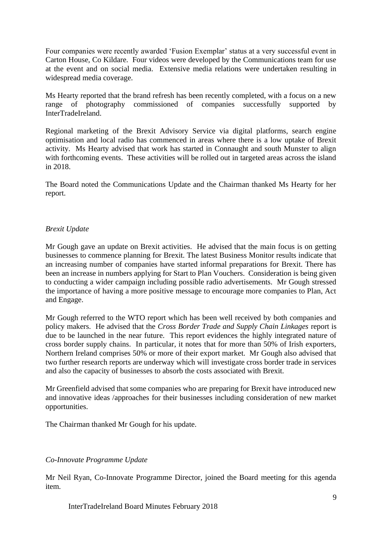Four companies were recently awarded 'Fusion Exemplar' status at a very successful event in Carton House, Co Kildare. Four videos were developed by the Communications team for use at the event and on social media. Extensive media relations were undertaken resulting in widespread media coverage.

Ms Hearty reported that the brand refresh has been recently completed, with a focus on a new range of photography commissioned of companies successfully supported by InterTradeIreland.

Regional marketing of the Brexit Advisory Service via digital platforms, search engine optimisation and local radio has commenced in areas where there is a low uptake of Brexit activity. Ms Hearty advised that work has started in Connaught and south Munster to align with forthcoming events. These activities will be rolled out in targeted areas across the island in 2018.

The Board noted the Communications Update and the Chairman thanked Ms Hearty for her report.

## *Brexit Update*

Mr Gough gave an update on Brexit activities. He advised that the main focus is on getting businesses to commence planning for Brexit. The latest Business Monitor results indicate that an increasing number of companies have started informal preparations for Brexit. There has been an increase in numbers applying for Start to Plan Vouchers. Consideration is being given to conducting a wider campaign including possible radio advertisements. Mr Gough stressed the importance of having a more positive message to encourage more companies to Plan, Act and Engage.

Mr Gough referred to the WTO report which has been well received by both companies and policy makers. He advised that the *Cross Border Trade and Supply Chain Linkages* report is due to be launched in the near future. This report evidences the highly integrated nature of cross border supply chains. In particular, it notes that for more than 50% of Irish exporters, Northern Ireland comprises 50% or more of their export market. Mr Gough also advised that two further research reports are underway which will investigate cross border trade in services and also the capacity of businesses to absorb the costs associated with Brexit.

Mr Greenfield advised that some companies who are preparing for Brexit have introduced new and innovative ideas /approaches for their businesses including consideration of new market opportunities.

The Chairman thanked Mr Gough for his update.

# *Co-Innovate Programme Update*

Mr Neil Ryan, Co-Innovate Programme Director, joined the Board meeting for this agenda item.

InterTradeIreland Board Minutes February 2018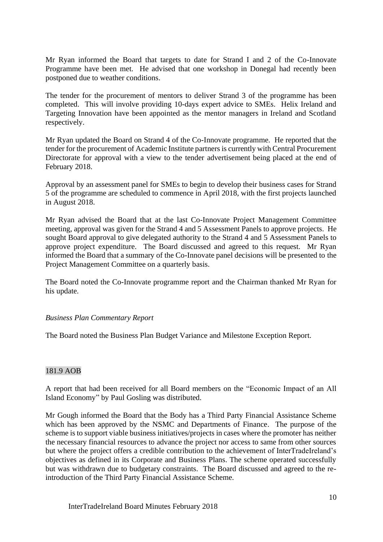Mr Ryan informed the Board that targets to date for Strand I and 2 of the Co-Innovate Programme have been met. He advised that one workshop in Donegal had recently been postponed due to weather conditions.

The tender for the procurement of mentors to deliver Strand 3 of the programme has been completed. This will involve providing 10-days expert advice to SMEs. Helix Ireland and Targeting Innovation have been appointed as the mentor managers in Ireland and Scotland respectively.

Mr Ryan updated the Board on Strand 4 of the Co-Innovate programme. He reported that the tender for the procurement of Academic Institute partners is currently with Central Procurement Directorate for approval with a view to the tender advertisement being placed at the end of February 2018.

Approval by an assessment panel for SMEs to begin to develop their business cases for Strand 5 of the programme are scheduled to commence in April 2018, with the first projects launched in August 2018.

Mr Ryan advised the Board that at the last Co-Innovate Project Management Committee meeting, approval was given for the Strand 4 and 5 Assessment Panels to approve projects. He sought Board approval to give delegated authority to the Strand 4 and 5 Assessment Panels to approve project expenditure. The Board discussed and agreed to this request. Mr Ryan informed the Board that a summary of the Co-Innovate panel decisions will be presented to the Project Management Committee on a quarterly basis.

The Board noted the Co-Innovate programme report and the Chairman thanked Mr Ryan for his update.

### *Business Plan Commentary Report*

The Board noted the Business Plan Budget Variance and Milestone Exception Report.

### 181.9 AOB

A report that had been received for all Board members on the "Economic Impact of an All Island Economy" by Paul Gosling was distributed.

Mr Gough informed the Board that the Body has a Third Party Financial Assistance Scheme which has been approved by the NSMC and Departments of Finance. The purpose of the scheme is to support viable business initiatives/projects in cases where the promoter has neither the necessary financial resources to advance the project nor access to same from other sources but where the project offers a credible contribution to the achievement of InterTradeIreland's objectives as defined in its Corporate and Business Plans. The scheme operated successfully but was withdrawn due to budgetary constraints. The Board discussed and agreed to the reintroduction of the Third Party Financial Assistance Scheme.